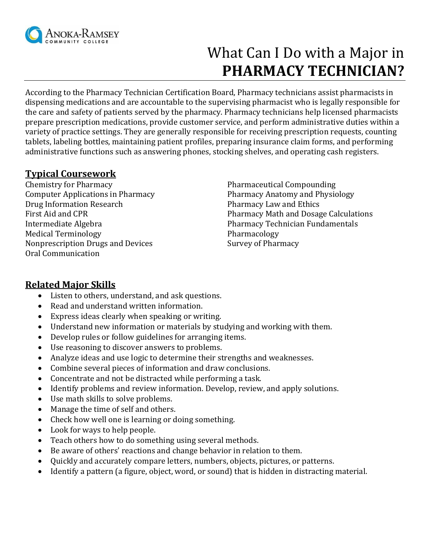

# What Can I Do with a Major in **PHARMACY TECHNICIAN?**

According to the Pharmacy Technician Certification Board, Pharmacy technicians assist pharmacists in dispensing medications and are accountable to the supervising pharmacist who is legally responsible for the care and safety of patients served by the pharmacy. Pharmacy technicians help licensed pharmacists prepare prescription medications, provide customer service, and perform administrative duties within a variety of practice settings. They are generally responsible for receiving prescription requests, counting tablets, labeling bottles, maintaining patient profiles, preparing insurance claim forms, and performing administrative functions such as answering phones, stocking shelves, and operating cash registers.

#### **Typical Coursework**

Chemistry for Pharmacy Computer Applications in Pharmacy Drug Information Research First Aid and CPR Intermediate Algebra Medical Terminology Nonprescription Drugs and Devices Oral Communication

Pharmaceutical Compounding Pharmacy Anatomy and Physiology Pharmacy Law and Ethics Pharmacy Math and Dosage Calculations Pharmacy Technician Fundamentals Pharmacology Survey of Pharmacy

# **Related Major Skills**

- Listen to others, understand, and ask questions.
- Read and understand written information.
- Express ideas clearly when speaking or writing.
- Understand new information or materials by studying and working with them.
- Develop rules or follow guidelines for arranging items.
- Use reasoning to discover answers to problems.
- Analyze ideas and use logic to determine their strengths and weaknesses.
- Combine several pieces of information and draw conclusions.
- Concentrate and not be distracted while performing a task.
- Identify problems and review information. Develop, review, and apply solutions.
- Use math skills to solve problems.
- Manage the time of self and others.
- Check how well one is learning or doing something.
- Look for ways to help people.
- Teach others how to do something using several methods.
- Be aware of others' reactions and change behavior in relation to them.
- Quickly and accurately compare letters, numbers, objects, pictures, or patterns.
- Identify a pattern (a figure, object, word, or sound) that is hidden in distracting material.